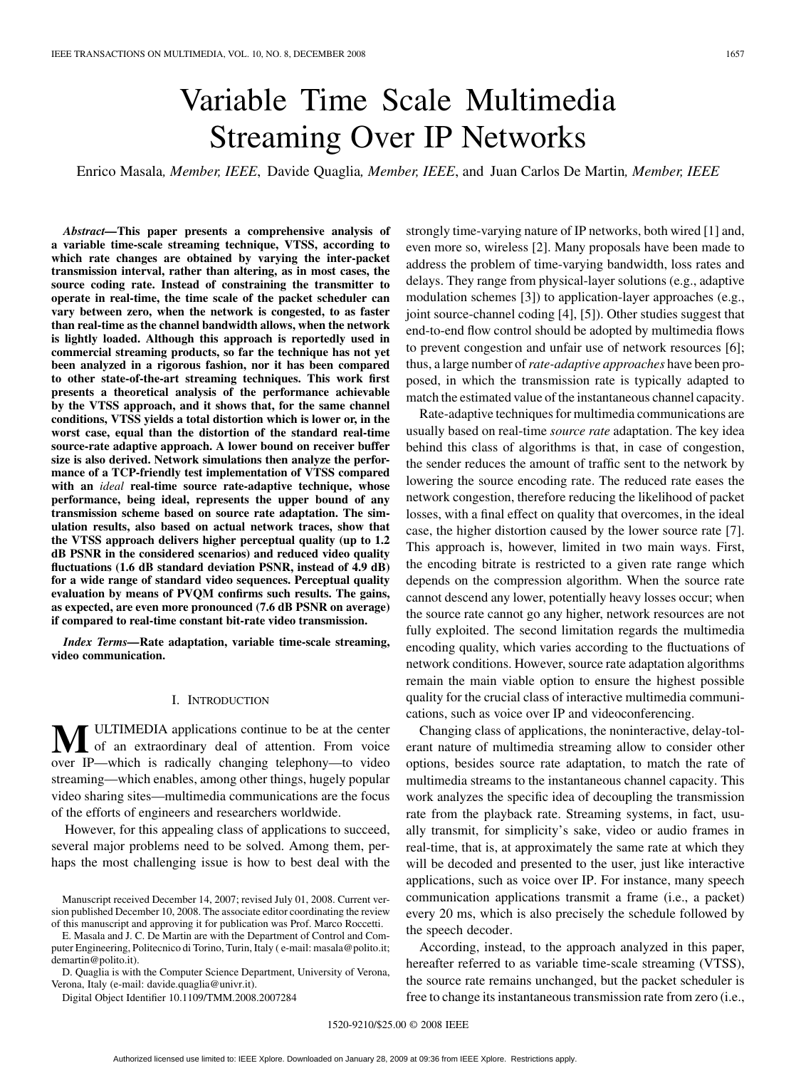# Variable Time Scale Multimedia Streaming Over IP Networks

Enrico Masala*, Member, IEEE*, Davide Quaglia*, Member, IEEE*, and Juan Carlos De Martin*, Member, IEEE*

*Abstract—***This paper presents a comprehensive analysis of a variable time-scale streaming technique, VTSS, according to which rate changes are obtained by varying the inter-packet transmission interval, rather than altering, as in most cases, the source coding rate. Instead of constraining the transmitter to operate in real-time, the time scale of the packet scheduler can vary between zero, when the network is congested, to as faster than real-time as the channel bandwidth allows, when the network is lightly loaded. Although this approach is reportedly used in commercial streaming products, so far the technique has not yet been analyzed in a rigorous fashion, nor it has been compared to other state-of-the-art streaming techniques. This work first presents a theoretical analysis of the performance achievable by the VTSS approach, and it shows that, for the same channel conditions, VTSS yields a total distortion which is lower or, in the worst case, equal than the distortion of the standard real-time source-rate adaptive approach. A lower bound on receiver buffer size is also derived. Network simulations then analyze the performance of a TCP-friendly test implementation of VTSS compared with an** *ideal* **real-time source rate-adaptive technique, whose performance, being ideal, represents the upper bound of any transmission scheme based on source rate adaptation. The simulation results, also based on actual network traces, show that the VTSS approach delivers higher perceptual quality (up to 1.2 dB PSNR in the considered scenarios) and reduced video quality fluctuations (1.6 dB standard deviation PSNR, instead of 4.9 dB) for a wide range of standard video sequences. Perceptual quality evaluation by means of PVQM confirms such results. The gains, as expected, are even more pronounced (7.6 dB PSNR on average) if compared to real-time constant bit-rate video transmission.**

*Index Terms—***Rate adaptation, variable time-scale streaming, video communication.**

#### I. INTRODUCTION

**M** ULTIMEDIA applications continue to be at the center<br>of an extraordinary deal of attention. From voice over IP—which is radically changing telephony—to video streaming—which enables, among other things, hugely popular video sharing sites—multimedia communications are the focus of the efforts of engineers and researchers worldwide.

However, for this appealing class of applications to succeed, several major problems need to be solved. Among them, perhaps the most challenging issue is how to best deal with the

E. Masala and J. C. De Martin are with the Department of Control and Computer Engineering, Politecnico di Torino, Turin, Italy ( e-mail: masala@polito.it; demartin@polito.it).

D. Quaglia is with the Computer Science Department, University of Verona, Verona, Italy (e-mail: davide.quaglia@univr.it).

Digital Object Identifier 10.1109/TMM.2008.2007284

strongly time-varying nature of IP networks, both wired [1] and, even more so, wireless [2]. Many proposals have been made to address the problem of time-varying bandwidth, loss rates and delays. They range from physical-layer solutions (e.g., adaptive modulation schemes [3]) to application-layer approaches (e.g., joint source-channel coding [4], [5]). Other studies suggest that end-to-end flow control should be adopted by multimedia flows to prevent congestion and unfair use of network resources [6]; thus, a large number of*rate-adaptive approaches* have been proposed, in which the transmission rate is typically adapted to match the estimated value of the instantaneous channel capacity.

Rate-adaptive techniques for multimedia communications are usually based on real-time *source rate* adaptation. The key idea behind this class of algorithms is that, in case of congestion, the sender reduces the amount of traffic sent to the network by lowering the source encoding rate. The reduced rate eases the network congestion, therefore reducing the likelihood of packet losses, with a final effect on quality that overcomes, in the ideal case, the higher distortion caused by the lower source rate [7]. This approach is, however, limited in two main ways. First, the encoding bitrate is restricted to a given rate range which depends on the compression algorithm. When the source rate cannot descend any lower, potentially heavy losses occur; when the source rate cannot go any higher, network resources are not fully exploited. The second limitation regards the multimedia encoding quality, which varies according to the fluctuations of network conditions. However, source rate adaptation algorithms remain the main viable option to ensure the highest possible quality for the crucial class of interactive multimedia communications, such as voice over IP and videoconferencing.

Changing class of applications, the noninteractive, delay-tolerant nature of multimedia streaming allow to consider other options, besides source rate adaptation, to match the rate of multimedia streams to the instantaneous channel capacity. This work analyzes the specific idea of decoupling the transmission rate from the playback rate. Streaming systems, in fact, usually transmit, for simplicity's sake, video or audio frames in real-time, that is, at approximately the same rate at which they will be decoded and presented to the user, just like interactive applications, such as voice over IP. For instance, many speech communication applications transmit a frame (i.e., a packet) every 20 ms, which is also precisely the schedule followed by the speech decoder.

According, instead, to the approach analyzed in this paper, hereafter referred to as variable time-scale streaming (VTSS), the source rate remains unchanged, but the packet scheduler is free to change its instantaneous transmission rate from zero (i.e.,

Manuscript received December 14, 2007; revised July 01, 2008. Current version published December 10, 2008. The associate editor coordinating the review of this manuscript and approving it for publication was Prof. Marco Roccetti.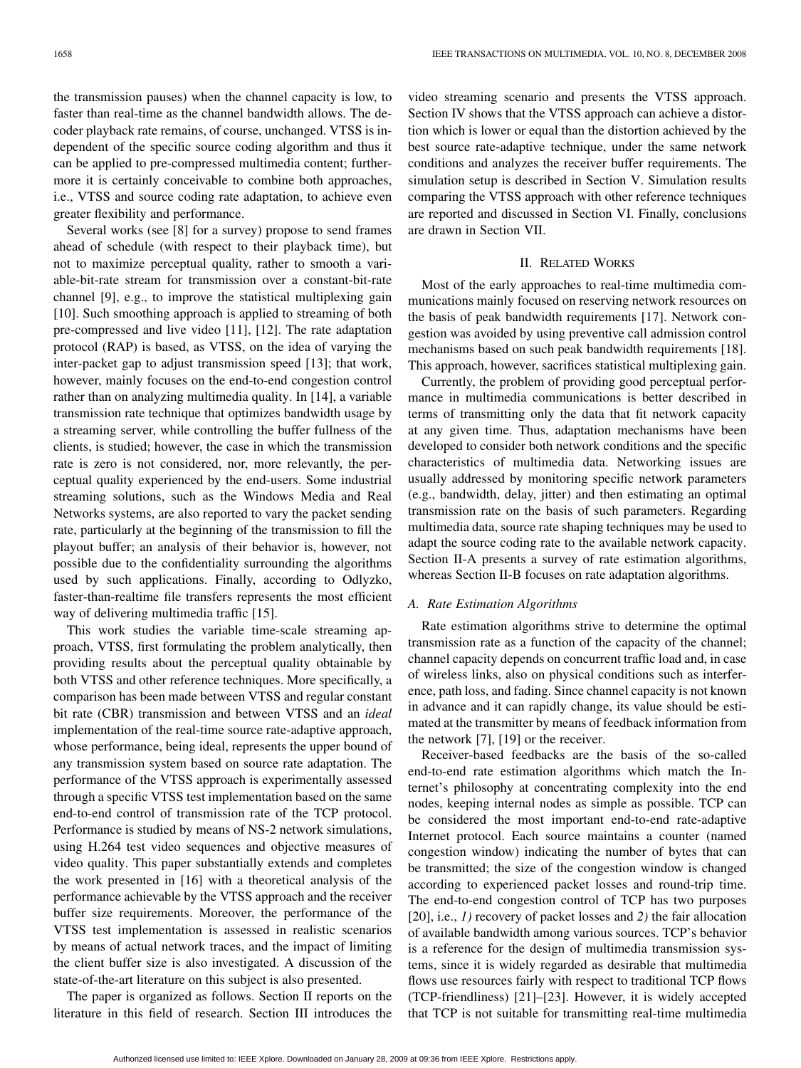the transmission pauses) when the channel capacity is low, to faster than real-time as the channel bandwidth allows. The decoder playback rate remains, of course, unchanged. VTSS is independent of the specific source coding algorithm and thus it can be applied to pre-compressed multimedia content; furthermore it is certainly conceivable to combine both approaches, i.e., VTSS and source coding rate adaptation, to achieve even greater flexibility and performance.

Several works (see [8] for a survey) propose to send frames ahead of schedule (with respect to their playback time), but not to maximize perceptual quality, rather to smooth a variable-bit-rate stream for transmission over a constant-bit-rate channel [9], e.g., to improve the statistical multiplexing gain [10]. Such smoothing approach is applied to streaming of both pre-compressed and live video [11], [12]. The rate adaptation protocol (RAP) is based, as VTSS, on the idea of varying the inter-packet gap to adjust transmission speed [13]; that work, however, mainly focuses on the end-to-end congestion control rather than on analyzing multimedia quality. In [14], a variable transmission rate technique that optimizes bandwidth usage by a streaming server, while controlling the buffer fullness of the clients, is studied; however, the case in which the transmission rate is zero is not considered, nor, more relevantly, the perceptual quality experienced by the end-users. Some industrial streaming solutions, such as the Windows Media and Real Networks systems, are also reported to vary the packet sending rate, particularly at the beginning of the transmission to fill the playout buffer; an analysis of their behavior is, however, not possible due to the confidentiality surrounding the algorithms used by such applications. Finally, according to Odlyzko, faster-than-realtime file transfers represents the most efficient way of delivering multimedia traffic [15].

This work studies the variable time-scale streaming approach, VTSS, first formulating the problem analytically, then providing results about the perceptual quality obtainable by both VTSS and other reference techniques. More specifically, a comparison has been made between VTSS and regular constant bit rate (CBR) transmission and between VTSS and an *ideal* implementation of the real-time source rate-adaptive approach, whose performance, being ideal, represents the upper bound of any transmission system based on source rate adaptation. The performance of the VTSS approach is experimentally assessed through a specific VTSS test implementation based on the same end-to-end control of transmission rate of the TCP protocol. Performance is studied by means of NS-2 network simulations, using H.264 test video sequences and objective measures of video quality. This paper substantially extends and completes the work presented in [16] with a theoretical analysis of the performance achievable by the VTSS approach and the receiver buffer size requirements. Moreover, the performance of the VTSS test implementation is assessed in realistic scenarios by means of actual network traces, and the impact of limiting the client buffer size is also investigated. A discussion of the state-of-the-art literature on this subject is also presented.

The paper is organized as follows. Section II reports on the literature in this field of research. Section III introduces the

video streaming scenario and presents the VTSS approach. Section IV shows that the VTSS approach can achieve a distortion which is lower or equal than the distortion achieved by the best source rate-adaptive technique, under the same network conditions and analyzes the receiver buffer requirements. The simulation setup is described in Section V. Simulation results comparing the VTSS approach with other reference techniques are reported and discussed in Section VI. Finally, conclusions are drawn in Section VII.

#### II. RELATED WORKS

Most of the early approaches to real-time multimedia communications mainly focused on reserving network resources on the basis of peak bandwidth requirements [17]. Network congestion was avoided by using preventive call admission control mechanisms based on such peak bandwidth requirements [18]. This approach, however, sacrifices statistical multiplexing gain.

Currently, the problem of providing good perceptual performance in multimedia communications is better described in terms of transmitting only the data that fit network capacity at any given time. Thus, adaptation mechanisms have been developed to consider both network conditions and the specific characteristics of multimedia data. Networking issues are usually addressed by monitoring specific network parameters (e.g., bandwidth, delay, jitter) and then estimating an optimal transmission rate on the basis of such parameters. Regarding multimedia data, source rate shaping techniques may be used to adapt the source coding rate to the available network capacity. Section II-A presents a survey of rate estimation algorithms, whereas Section II-B focuses on rate adaptation algorithms.

## *A. Rate Estimation Algorithms*

Rate estimation algorithms strive to determine the optimal transmission rate as a function of the capacity of the channel; channel capacity depends on concurrent traffic load and, in case of wireless links, also on physical conditions such as interference, path loss, and fading. Since channel capacity is not known in advance and it can rapidly change, its value should be estimated at the transmitter by means of feedback information from the network [7], [19] or the receiver.

Receiver-based feedbacks are the basis of the so-called end-to-end rate estimation algorithms which match the Internet's philosophy at concentrating complexity into the end nodes, keeping internal nodes as simple as possible. TCP can be considered the most important end-to-end rate-adaptive Internet protocol. Each source maintains a counter (named congestion window) indicating the number of bytes that can be transmitted; the size of the congestion window is changed according to experienced packet losses and round-trip time. The end-to-end congestion control of TCP has two purposes [20], i.e., *1)* recovery of packet losses and *2)* the fair allocation of available bandwidth among various sources. TCP's behavior is a reference for the design of multimedia transmission systems, since it is widely regarded as desirable that multimedia flows use resources fairly with respect to traditional TCP flows (TCP-friendliness) [21]–[23]. However, it is widely accepted that TCP is not suitable for transmitting real-time multimedia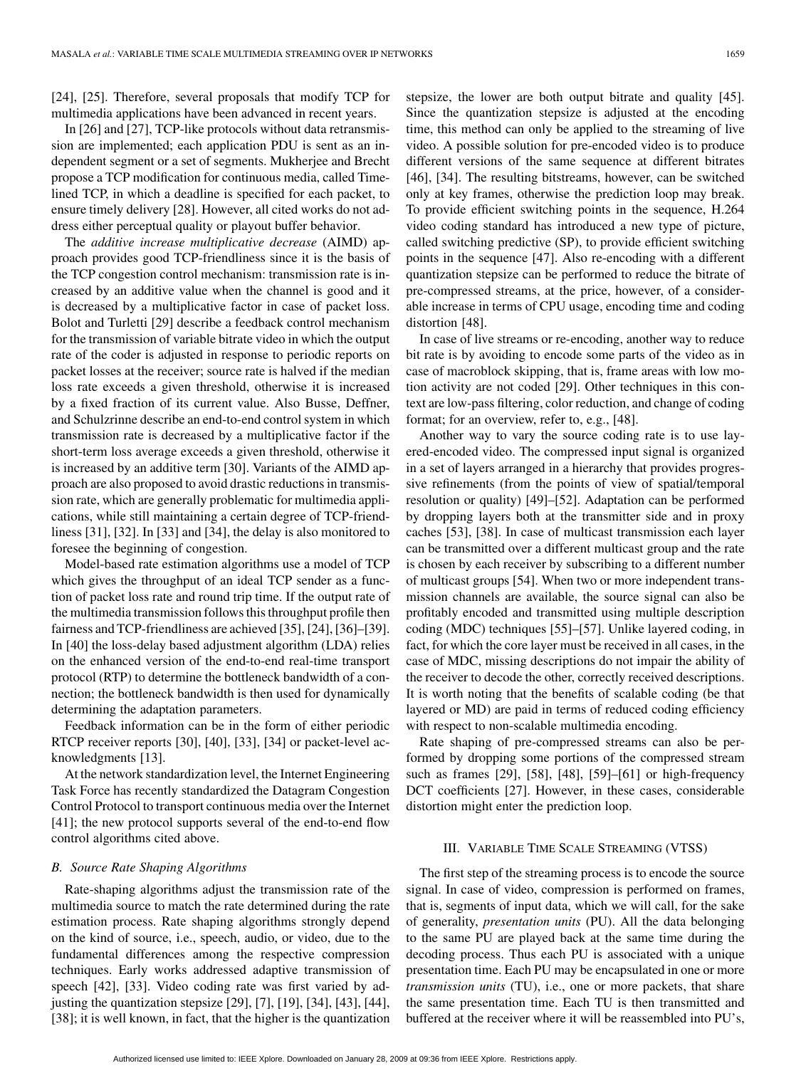[24], [25]. Therefore, several proposals that modify TCP for multimedia applications have been advanced in recent years.

In [26] and [27], TCP-like protocols without data retransmission are implemented; each application PDU is sent as an independent segment or a set of segments. Mukherjee and Brecht propose a TCP modification for continuous media, called Timelined TCP, in which a deadline is specified for each packet, to ensure timely delivery [28]. However, all cited works do not address either perceptual quality or playout buffer behavior.

The *additive increase multiplicative decrease* (AIMD) approach provides good TCP-friendliness since it is the basis of the TCP congestion control mechanism: transmission rate is increased by an additive value when the channel is good and it is decreased by a multiplicative factor in case of packet loss. Bolot and Turletti [29] describe a feedback control mechanism for the transmission of variable bitrate video in which the output rate of the coder is adjusted in response to periodic reports on packet losses at the receiver; source rate is halved if the median loss rate exceeds a given threshold, otherwise it is increased by a fixed fraction of its current value. Also Busse, Deffner, and Schulzrinne describe an end-to-end control system in which transmission rate is decreased by a multiplicative factor if the short-term loss average exceeds a given threshold, otherwise it is increased by an additive term [30]. Variants of the AIMD approach are also proposed to avoid drastic reductions in transmission rate, which are generally problematic for multimedia applications, while still maintaining a certain degree of TCP-friendliness [31], [32]. In [33] and [34], the delay is also monitored to foresee the beginning of congestion.

Model-based rate estimation algorithms use a model of TCP which gives the throughput of an ideal TCP sender as a function of packet loss rate and round trip time. If the output rate of the multimedia transmission follows this throughput profile then fairness and TCP-friendliness are achieved [35], [24], [36]–[39]. In [40] the loss-delay based adjustment algorithm (LDA) relies on the enhanced version of the end-to-end real-time transport protocol (RTP) to determine the bottleneck bandwidth of a connection; the bottleneck bandwidth is then used for dynamically determining the adaptation parameters.

Feedback information can be in the form of either periodic RTCP receiver reports [30], [40], [33], [34] or packet-level acknowledgments [13].

At the network standardization level, the Internet Engineering Task Force has recently standardized the Datagram Congestion Control Protocol to transport continuous media over the Internet [41]; the new protocol supports several of the end-to-end flow control algorithms cited above.

## *B. Source Rate Shaping Algorithms*

Rate-shaping algorithms adjust the transmission rate of the multimedia source to match the rate determined during the rate estimation process. Rate shaping algorithms strongly depend on the kind of source, i.e., speech, audio, or video, due to the fundamental differences among the respective compression techniques. Early works addressed adaptive transmission of speech [42], [33]. Video coding rate was first varied by adjusting the quantization stepsize [29], [7], [19], [34], [43], [44], [38]; it is well known, in fact, that the higher is the quantization stepsize, the lower are both output bitrate and quality [45]. Since the quantization stepsize is adjusted at the encoding time, this method can only be applied to the streaming of live video. A possible solution for pre-encoded video is to produce different versions of the same sequence at different bitrates [46], [34]. The resulting bitstreams, however, can be switched only at key frames, otherwise the prediction loop may break. To provide efficient switching points in the sequence, H.264 video coding standard has introduced a new type of picture, called switching predictive (SP), to provide efficient switching points in the sequence [47]. Also re-encoding with a different quantization stepsize can be performed to reduce the bitrate of pre-compressed streams, at the price, however, of a considerable increase in terms of CPU usage, encoding time and coding distortion [48].

In case of live streams or re-encoding, another way to reduce bit rate is by avoiding to encode some parts of the video as in case of macroblock skipping, that is, frame areas with low motion activity are not coded [29]. Other techniques in this context are low-pass filtering, color reduction, and change of coding format; for an overview, refer to, e.g., [48].

Another way to vary the source coding rate is to use layered-encoded video. The compressed input signal is organized in a set of layers arranged in a hierarchy that provides progressive refinements (from the points of view of spatial/temporal resolution or quality) [49]–[52]. Adaptation can be performed by dropping layers both at the transmitter side and in proxy caches [53], [38]. In case of multicast transmission each layer can be transmitted over a different multicast group and the rate is chosen by each receiver by subscribing to a different number of multicast groups [54]. When two or more independent transmission channels are available, the source signal can also be profitably encoded and transmitted using multiple description coding (MDC) techniques [55]–[57]. Unlike layered coding, in fact, for which the core layer must be received in all cases, in the case of MDC, missing descriptions do not impair the ability of the receiver to decode the other, correctly received descriptions. It is worth noting that the benefits of scalable coding (be that layered or MD) are paid in terms of reduced coding efficiency with respect to non-scalable multimedia encoding.

Rate shaping of pre-compressed streams can also be performed by dropping some portions of the compressed stream such as frames [29], [58], [48], [59]–[61] or high-frequency DCT coefficients [27]. However, in these cases, considerable distortion might enter the prediction loop.

## III. VARIABLE TIME SCALE STREAMING (VTSS)

The first step of the streaming process is to encode the source signal. In case of video, compression is performed on frames, that is, segments of input data, which we will call, for the sake of generality, *presentation units* (PU). All the data belonging to the same PU are played back at the same time during the decoding process. Thus each PU is associated with a unique presentation time. Each PU may be encapsulated in one or more *transmission units* (TU), i.e., one or more packets, that share the same presentation time. Each TU is then transmitted and buffered at the receiver where it will be reassembled into PU's,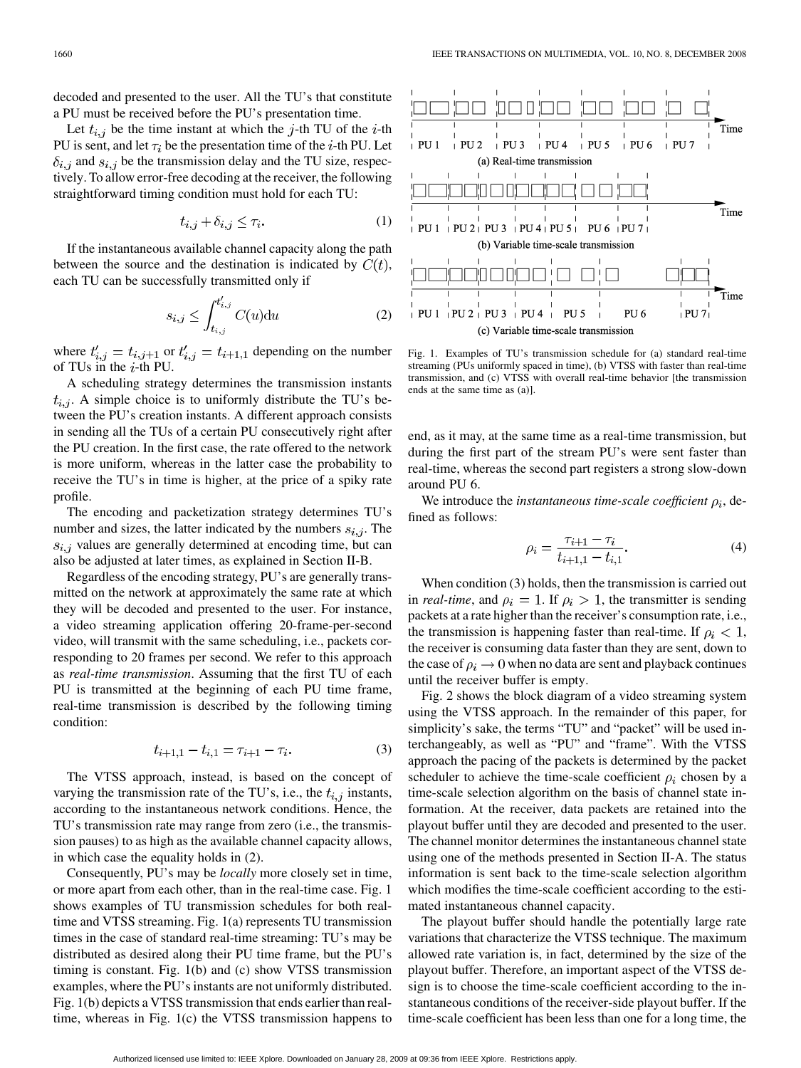decoded and presented to the user. All the TU's that constitute a PU must be received before the PU's presentation time.

Let  $t_{i,j}$  be the time instant at which the j-th TU of the *i*-th PU is sent, and let  $\tau_i$  be the presentation time of the *i*-th PU. Let  $\delta_{i,j}$  and  $s_{i,j}$  be the transmission delay and the TU size, respectively. To allow error-free decoding at the receiver, the following straightforward timing condition must hold for each TU:

$$
t_{i,j} + \delta_{i,j} \le \tau_i. \tag{1}
$$

If the instantaneous available channel capacity along the path between the source and the destination is indicated by  $C(t)$ , each TU can be successfully transmitted only if

$$
s_{i,j} \le \int_{t_{i,j}}^{t'_{i,j}} C(u) \mathrm{d}u \tag{2}
$$

where  $t'_{i,j} = t_{i,j+1}$  or  $t'_{i,j} = t_{i+1,1}$  depending on the number of TUs in the  $i$ -th PU.

A scheduling strategy determines the transmission instants  $t_{i,j}$ . A simple choice is to uniformly distribute the TU's between the PU's creation instants. A different approach consists in sending all the TUs of a certain PU consecutively right after the PU creation. In the first case, the rate offered to the network is more uniform, whereas in the latter case the probability to receive the TU's in time is higher, at the price of a spiky rate profile.

The encoding and packetization strategy determines TU's number and sizes, the latter indicated by the numbers  $s_{i,j}$ . The  $s_{i,j}$  values are generally determined at encoding time, but can also be adjusted at later times, as explained in Section II-B.

Regardless of the encoding strategy, PU's are generally transmitted on the network at approximately the same rate at which they will be decoded and presented to the user. For instance, a video streaming application offering 20-frame-per-second video, will transmit with the same scheduling, i.e., packets corresponding to 20 frames per second. We refer to this approach as *real-time transmission*. Assuming that the first TU of each PU is transmitted at the beginning of each PU time frame, real-time transmission is described by the following timing condition:

$$
t_{i+1,1} - t_{i,1} = \tau_{i+1} - \tau_i.
$$
 (3)

The VTSS approach, instead, is based on the concept of varying the transmission rate of the TU's, i.e., the  $t_{i,j}$  instants, according to the instantaneous network conditions. Hence, the TU's transmission rate may range from zero (i.e., the transmission pauses) to as high as the available channel capacity allows, in which case the equality holds in (2).

Consequently, PU's may be *locally* more closely set in time, or more apart from each other, than in the real-time case. Fig. 1 shows examples of TU transmission schedules for both realtime and VTSS streaming. Fig. 1(a) represents TU transmission times in the case of standard real-time streaming: TU's may be distributed as desired along their PU time frame, but the PU's timing is constant. Fig. 1(b) and (c) show VTSS transmission examples, where the PU's instants are not uniformly distributed. Fig. 1(b) depicts a VTSS transmission that ends earlier than realtime, whereas in Fig. 1(c) the VTSS transmission happens to



Fig. 1. Examples of TU's transmission schedule for (a) standard real-time streaming (PUs uniformly spaced in time), (b) VTSS with faster than real-time transmission, and (c) VTSS with overall real-time behavior [the transmission ends at the same time as (a)].

end, as it may, at the same time as a real-time transmission, but during the first part of the stream PU's were sent faster than real-time, whereas the second part registers a strong slow-down around PU 6.

We introduce the *instantaneous time-scale coefficient*  $\rho_i$ , defined as follows:

$$
\rho_i = \frac{\tau_{i+1} - \tau_i}{t_{i+1,1} - t_{i,1}}.\tag{4}
$$

When condition (3) holds, then the transmission is carried out in *real-time*, and  $\rho_i = 1$ . If  $\rho_i > 1$ , the transmitter is sending packets at a rate higher than the receiver's consumption rate, i.e., the transmission is happening faster than real-time. If  $\rho_i < 1$ , the receiver is consuming data faster than they are sent, down to the case of  $\rho_i \rightarrow 0$  when no data are sent and playback continues until the receiver buffer is empty.

Fig. 2 shows the block diagram of a video streaming system using the VTSS approach. In the remainder of this paper, for simplicity's sake, the terms "TU" and "packet" will be used interchangeably, as well as "PU" and "frame". With the VTSS approach the pacing of the packets is determined by the packet scheduler to achieve the time-scale coefficient  $\rho_i$  chosen by a time-scale selection algorithm on the basis of channel state information. At the receiver, data packets are retained into the playout buffer until they are decoded and presented to the user. The channel monitor determines the instantaneous channel state using one of the methods presented in Section II-A. The status information is sent back to the time-scale selection algorithm which modifies the time-scale coefficient according to the estimated instantaneous channel capacity.

The playout buffer should handle the potentially large rate variations that characterize the VTSS technique. The maximum allowed rate variation is, in fact, determined by the size of the playout buffer. Therefore, an important aspect of the VTSS design is to choose the time-scale coefficient according to the instantaneous conditions of the receiver-side playout buffer. If the time-scale coefficient has been less than one for a long time, the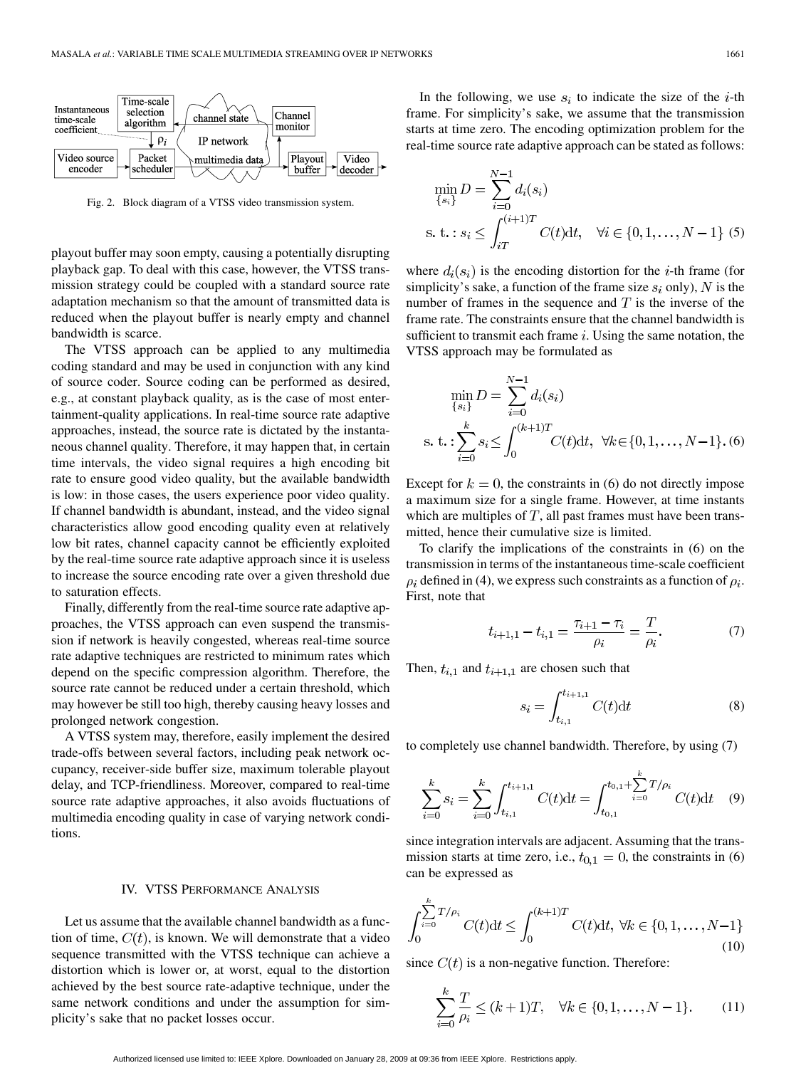

Fig. 2. Block diagram of a VTSS video transmission system.

playout buffer may soon empty, causing a potentially disrupting playback gap. To deal with this case, however, the VTSS transmission strategy could be coupled with a standard source rate adaptation mechanism so that the amount of transmitted data is reduced when the playout buffer is nearly empty and channel bandwidth is scarce.

The VTSS approach can be applied to any multimedia coding standard and may be used in conjunction with any kind of source coder. Source coding can be performed as desired, e.g., at constant playback quality, as is the case of most entertainment-quality applications. In real-time source rate adaptive approaches, instead, the source rate is dictated by the instantaneous channel quality. Therefore, it may happen that, in certain time intervals, the video signal requires a high encoding bit rate to ensure good video quality, but the available bandwidth is low: in those cases, the users experience poor video quality. If channel bandwidth is abundant, instead, and the video signal characteristics allow good encoding quality even at relatively low bit rates, channel capacity cannot be efficiently exploited by the real-time source rate adaptive approach since it is useless to increase the source encoding rate over a given threshold due to saturation effects.

Finally, differently from the real-time source rate adaptive approaches, the VTSS approach can even suspend the transmission if network is heavily congested, whereas real-time source rate adaptive techniques are restricted to minimum rates which depend on the specific compression algorithm. Therefore, the source rate cannot be reduced under a certain threshold, which may however be still too high, thereby causing heavy losses and prolonged network congestion.

A VTSS system may, therefore, easily implement the desired trade-offs between several factors, including peak network occupancy, receiver-side buffer size, maximum tolerable playout delay, and TCP-friendliness. Moreover, compared to real-time source rate adaptive approaches, it also avoids fluctuations of multimedia encoding quality in case of varying network conditions.

#### IV. VTSS PERFORMANCE ANALYSIS

Let us assume that the available channel bandwidth as a function of time,  $C(t)$ , is known. We will demonstrate that a video sequence transmitted with the VTSS technique can achieve a distortion which is lower or, at worst, equal to the distortion achieved by the best source rate-adaptive technique, under the same network conditions and under the assumption for simplicity's sake that no packet losses occur.

In the following, we use  $s_i$  to indicate the size of the *i*-th frame. For simplicity's sake, we assume that the transmission starts at time zero. The encoding optimization problem for the real-time source rate adaptive approach can be stated as follows:

$$
\min_{\{s_i\}} D = \sum_{i=0}^{N-1} d_i(s_i)
$$
\n
$$
\text{s. t. : } s_i \le \int_{iT}^{(i+1)T} C(t) \, \text{d}t, \quad \forall i \in \{0, 1, \dots, N-1\} \tag{5}
$$

where  $d_i(s_i)$  is the encoding distortion for the *i*-th frame (for simplicity's sake, a function of the frame size  $s_i$  only), N is the number of frames in the sequence and  $T$  is the inverse of the frame rate. The constraints ensure that the channel bandwidth is sufficient to transmit each frame  $i$ . Using the same notation, the VTSS approach may be formulated as

$$
\min_{\{s_i\}} D = \sum_{i=0}^{N-1} d_i(s_i)
$$
\n
$$
\text{s. t.} : \sum_{i=0}^{k} s_i \le \int_0^{(k+1)T} C(t) \, \text{d}t, \ \forall k \in \{0, 1, \dots, N-1\}. \text{ (6)}
$$

Except for  $k = 0$ , the constraints in (6) do not directly impose a maximum size for a single frame. However, at time instants which are multiples of  $T$ , all past frames must have been transmitted, hence their cumulative size is limited.

To clarify the implications of the constraints in (6) on the transmission in terms of the instantaneous time-scale coefficient  $\rho_i$  defined in (4), we express such constraints as a function of  $\rho_i$ . First, note that

$$
t_{i+1,1} - t_{i,1} = \frac{\tau_{i+1} - \tau_i}{\rho_i} = \frac{T}{\rho_i}.
$$
 (7)

Then,  $t_{i,1}$  and  $t_{i+1,1}$  are chosen such that

$$
s_i = \int_{t_{i,1}}^{t_{i+1,1}} C(t) dt
$$
 (8)

to completely use channel bandwidth. Therefore, by using (7)

$$
\sum_{i=0}^{k} s_i = \sum_{i=0}^{k} \int_{t_{i,1}}^{t_{i+1,1}} C(t) dt = \int_{t_{0,1}}^{t_{0,1} + \sum_{i=0}^{k} T/\rho_i} C(t) dt \quad (9)
$$

since integration intervals are adjacent. Assuming that the transmission starts at time zero, i.e.,  $t_{0,1} = 0$ , the constraints in (6) can be expressed as

$$
\int_0^{\sum_{i=0}^k T/\rho_i} C(t) dt \le \int_0^{(k+1)T} C(t) dt, \ \forall k \in \{0, 1, \dots, N-1\}
$$
\n(10)

since  $C(t)$  is a non-negative function. Therefore:

$$
\sum_{i=0}^{k} \frac{T}{\rho_i} \le (k+1)T, \quad \forall k \in \{0, 1, \dots, N-1\}.
$$
 (11)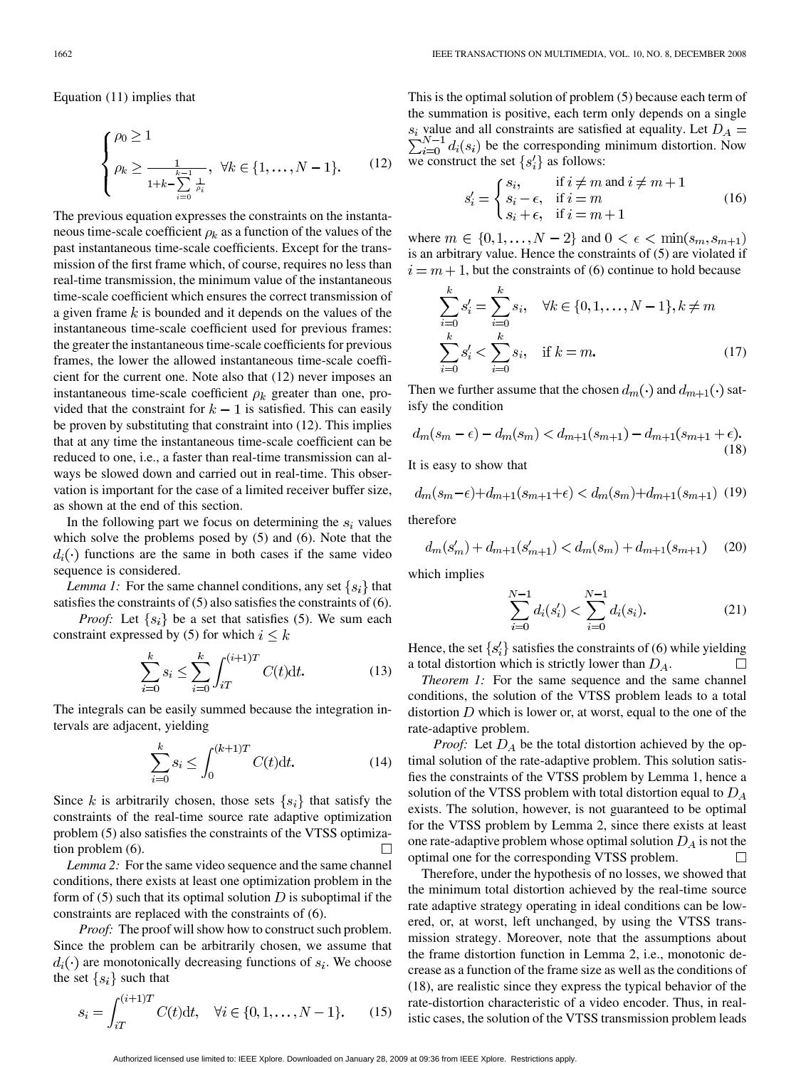Equation (11) implies that

$$
\begin{cases} \n\rho_0 \ge 1 \\ \n\rho_k \ge \frac{1}{1 + k - \sum_{i=0}^{k-1} \frac{1}{\rho_i}}, \ \forall k \in \{1, \dots, N - 1\}. \n\end{cases} \tag{12}
$$

The previous equation expresses the constraints on the instantaneous time-scale coefficient  $\rho_k$  as a function of the values of the past instantaneous time-scale coefficients. Except for the transmission of the first frame which, of course, requires no less than real-time transmission, the minimum value of the instantaneous time-scale coefficient which ensures the correct transmission of a given frame  $k$  is bounded and it depends on the values of the instantaneous time-scale coefficient used for previous frames: the greater the instantaneous time-scale coefficients for previous frames, the lower the allowed instantaneous time-scale coefficient for the current one. Note also that (12) never imposes an instantaneous time-scale coefficient  $\rho_k$  greater than one, provided that the constraint for  $k-1$  is satisfied. This can easily be proven by substituting that constraint into (12). This implies that at any time the instantaneous time-scale coefficient can be reduced to one, i.e., a faster than real-time transmission can always be slowed down and carried out in real-time. This observation is important for the case of a limited receiver buffer size, as shown at the end of this section.

In the following part we focus on determining the  $s_i$  values which solve the problems posed by (5) and (6). Note that the  $d_i(\cdot)$  functions are the same in both cases if the same video sequence is considered.

*Lemma 1:* For the same channel conditions, any set  $\{s_i\}$  that satisfies the constraints of (5) also satisfies the constraints of (6).

*Proof:* Let  $\{s_i\}$  be a set that satisfies (5). We sum each constraint expressed by (5) for which  $i \leq k$ 

$$
\sum_{i=0}^{k} s_i \le \sum_{i=0}^{k} \int_{iT}^{(i+1)T} C(t) \mathrm{d}t. \tag{13}
$$

The integrals can be easily summed because the integration intervals are adjacent, yielding

$$
\sum_{i=0}^{k} s_i \le \int_0^{(k+1)T} C(t) \mathrm{d}t. \tag{14}
$$

Since k is arbitrarily chosen, those sets  $\{s_i\}$  that satisfy the constraints of the real-time source rate adaptive optimization problem (5) also satisfies the constraints of the VTSS optimization problem (6).

*Lemma 2:* For the same video sequence and the same channel conditions, there exists at least one optimization problem in the form of (5) such that its optimal solution  $D$  is suboptimal if the constraints are replaced with the constraints of (6).

*Proof:* The proof will show how to construct such problem. Since the problem can be arbitrarily chosen, we assume that  $d_i(\cdot)$  are monotonically decreasing functions of  $s_i$ . We choose the set  $\{s_i\}$  such that

$$
s_i = \int_{iT}^{(i+1)T} C(t)dt, \quad \forall i \in \{0, 1, \dots, N-1\}.
$$
 (15)

This is the optimal solution of problem (5) because each term of the summation is positive, each term only depends on a single value and all constraints are satisfied at equality. Let be the corresponding minimum distortion. Now we construct the set  $\{s_i'\}$  as follows:

$$
s'_{i} = \begin{cases} s_{i}, & \text{if } i \neq m \text{ and } i \neq m+1 \\ s_{i} - \epsilon, & \text{if } i = m \\ s_{i} + \epsilon, & \text{if } i = m+1 \end{cases}
$$
(16)

where  $m \in \{0, 1, ..., N - 2\}$  and  $0 < \epsilon < \min(s_m, s_{m+1})$ is an arbitrary value. Hence the constraints of (5) are violated if  $i = m + 1$ , but the constraints of (6) continue to hold because

$$
\sum_{i=0}^{k} s'_i = \sum_{i=0}^{k} s_i, \quad \forall k \in \{0, 1, \dots, N-1\}, k \neq m
$$
  

$$
\sum_{i=0}^{k} s'_i < \sum_{i=0}^{k} s_i, \quad \text{if } k = m.
$$
 (17)

Then we further assume that the chosen  $d_m(\cdot)$  and  $d_{m+1}(\cdot)$  satisfy the condition

$$
d_m(s_m - \epsilon) - d_m(s_m) < d_{m+1}(s_{m+1}) - d_{m+1}(s_{m+1} + \epsilon). \tag{18}
$$

It is easy to show that

$$
d_m(s_m - \epsilon) + d_{m+1}(s_{m+1} + \epsilon) < d_m(s_m) + d_{m+1}(s_{m+1}) \tag{19}
$$

therefore

$$
d_m(s'_m) + d_{m+1}(s'_{m+1}) < d_m(s_m) + d_{m+1}(s_{m+1}) \tag{20}
$$

which implies

$$
\sum_{i=0}^{N-1} d_i(s_i') < \sum_{i=0}^{N-1} d_i(s_i). \tag{21}
$$

Hence, the set  $\{s_i'\}$  satisfies the constraints of (6) while yielding a total distortion which is strictly lower than  $D_A$ .  $\Box$ 

*Theorem 1:* For the same sequence and the same channel conditions, the solution of the VTSS problem leads to a total distortion  $D$  which is lower or, at worst, equal to the one of the rate-adaptive problem.

*Proof:* Let  $D_A$  be the total distortion achieved by the optimal solution of the rate-adaptive problem. This solution satisfies the constraints of the VTSS problem by Lemma 1, hence a solution of the VTSS problem with total distortion equal to  $D_A$ exists. The solution, however, is not guaranteed to be optimal for the VTSS problem by Lemma 2, since there exists at least one rate-adaptive problem whose optimal solution  $D_A$  is not the optimal one for the corresponding VTSS problem.  $\Box$ 

Therefore, under the hypothesis of no losses, we showed that the minimum total distortion achieved by the real-time source rate adaptive strategy operating in ideal conditions can be lowered, or, at worst, left unchanged, by using the VTSS transmission strategy. Moreover, note that the assumptions about the frame distortion function in Lemma 2, i.e., monotonic decrease as a function of the frame size as well as the conditions of (18), are realistic since they express the typical behavior of the rate-distortion characteristic of a video encoder. Thus, in realistic cases, the solution of the VTSS transmission problem leads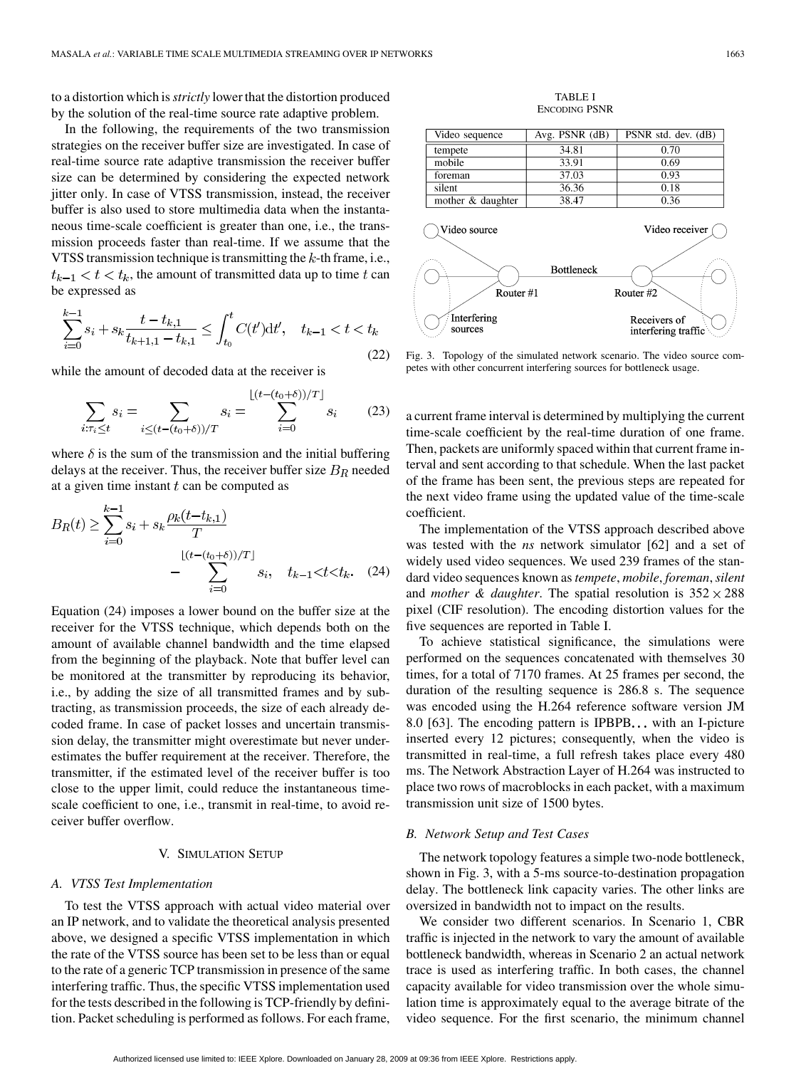to a distortion which is*strictly* lower that the distortion produced by the solution of the real-time source rate adaptive problem.

In the following, the requirements of the two transmission strategies on the receiver buffer size are investigated. In case of real-time source rate adaptive transmission the receiver buffer size can be determined by considering the expected network jitter only. In case of VTSS transmission, instead, the receiver buffer is also used to store multimedia data when the instantaneous time-scale coefficient is greater than one, i.e., the transmission proceeds faster than real-time. If we assume that the VTSS transmission technique is transmitting the  $k$ -th frame, i.e.,  $t_{k-1} < t < t_k$ , the amount of transmitted data up to time t can be expressed as

$$
\sum_{i=0}^{k-1} s_i + s_k \frac{t - t_{k,1}}{t_{k+1,1} - t_{k,1}} \le \int_{t_0}^t C(t') \mathrm{d}t', \quad t_{k-1} < t < t_k \tag{22}
$$

while the amount of decoded data at the receiver is

$$
\sum_{i:\tau_i \le t} s_i = \sum_{i \le (t - (t_0 + \delta))/T} s_i = \sum_{i=0}^{\lfloor (t - (t_0 + \delta))/T \rfloor} s_i \qquad (23)
$$

where  $\delta$  is the sum of the transmission and the initial buffering delays at the receiver. Thus, the receiver buffer size  $B_R$  needed at a given time instant  $t$  can be computed as

$$
B_R(t) \ge \sum_{i=0}^{k-1} s_i + s_k \frac{\rho_k(t - t_{k,1})}{T}
$$
  
– 
$$
\sum_{i=0}^{\lfloor (t - (t_0 + \delta))/T \rfloor} s_i, \quad t_{k-1} < t < t_k.
$$
 (24)

Equation (24) imposes a lower bound on the buffer size at the receiver for the VTSS technique, which depends both on the amount of available channel bandwidth and the time elapsed from the beginning of the playback. Note that buffer level can be monitored at the transmitter by reproducing its behavior, i.e., by adding the size of all transmitted frames and by subtracting, as transmission proceeds, the size of each already decoded frame. In case of packet losses and uncertain transmission delay, the transmitter might overestimate but never underestimates the buffer requirement at the receiver. Therefore, the transmitter, if the estimated level of the receiver buffer is too close to the upper limit, could reduce the instantaneous timescale coefficient to one, i.e., transmit in real-time, to avoid receiver buffer overflow.

#### V. SIMULATION SETUP

# *A. VTSS Test Implementation*

To test the VTSS approach with actual video material over an IP network, and to validate the theoretical analysis presented above, we designed a specific VTSS implementation in which the rate of the VTSS source has been set to be less than or equal to the rate of a generic TCP transmission in presence of the same interfering traffic. Thus, the specific VTSS implementation used for the tests described in the following is TCP-friendly by definition. Packet scheduling is performed as follows. For each frame,

TABLE I ENCODING PSNR

| Video sequence    | Avg. $PSNR$ ( $dB$ ) | PSNR std. dev. (dB) |
|-------------------|----------------------|---------------------|
| tempete           | 34.81                | 0.70                |
| mobile            | 33.91                | 0.69                |
| foreman           | 37.03                | 0.93                |
| silent            | 36.36                | 0.18                |
| mother & daughter | 38.47                | 0.36                |
|                   |                      |                     |



Fig. 3. Topology of the simulated network scenario. The video source competes with other concurrent interfering sources for bottleneck usage.

a current frame interval is determined by multiplying the current time-scale coefficient by the real-time duration of one frame. Then, packets are uniformly spaced within that current frame interval and sent according to that schedule. When the last packet of the frame has been sent, the previous steps are repeated for the next video frame using the updated value of the time-scale coefficient.

The implementation of the VTSS approach described above was tested with the *ns* network simulator [62] and a set of widely used video sequences. We used 239 frames of the standard video sequences known as *tempete*, *mobile*, *foreman*,*silent* and *mother & daughter*. The spatial resolution is  $352 \times 288$ pixel (CIF resolution). The encoding distortion values for the five sequences are reported in Table I.

To achieve statistical significance, the simulations were performed on the sequences concatenated with themselves 30 times, for a total of 7170 frames. At 25 frames per second, the duration of the resulting sequence is 286.8 s. The sequence was encoded using the H.264 reference software version JM 8.0 [63]. The encoding pattern is IPBPB... with an I-picture inserted every 12 pictures; consequently, when the video is transmitted in real-time, a full refresh takes place every 480 ms. The Network Abstraction Layer of H.264 was instructed to place two rows of macroblocks in each packet, with a maximum transmission unit size of 1500 bytes.

#### *B. Network Setup and Test Cases*

The network topology features a simple two-node bottleneck, shown in Fig. 3, with a 5-ms source-to-destination propagation delay. The bottleneck link capacity varies. The other links are oversized in bandwidth not to impact on the results.

We consider two different scenarios. In Scenario 1, CBR traffic is injected in the network to vary the amount of available bottleneck bandwidth, whereas in Scenario 2 an actual network trace is used as interfering traffic. In both cases, the channel capacity available for video transmission over the whole simulation time is approximately equal to the average bitrate of the video sequence. For the first scenario, the minimum channel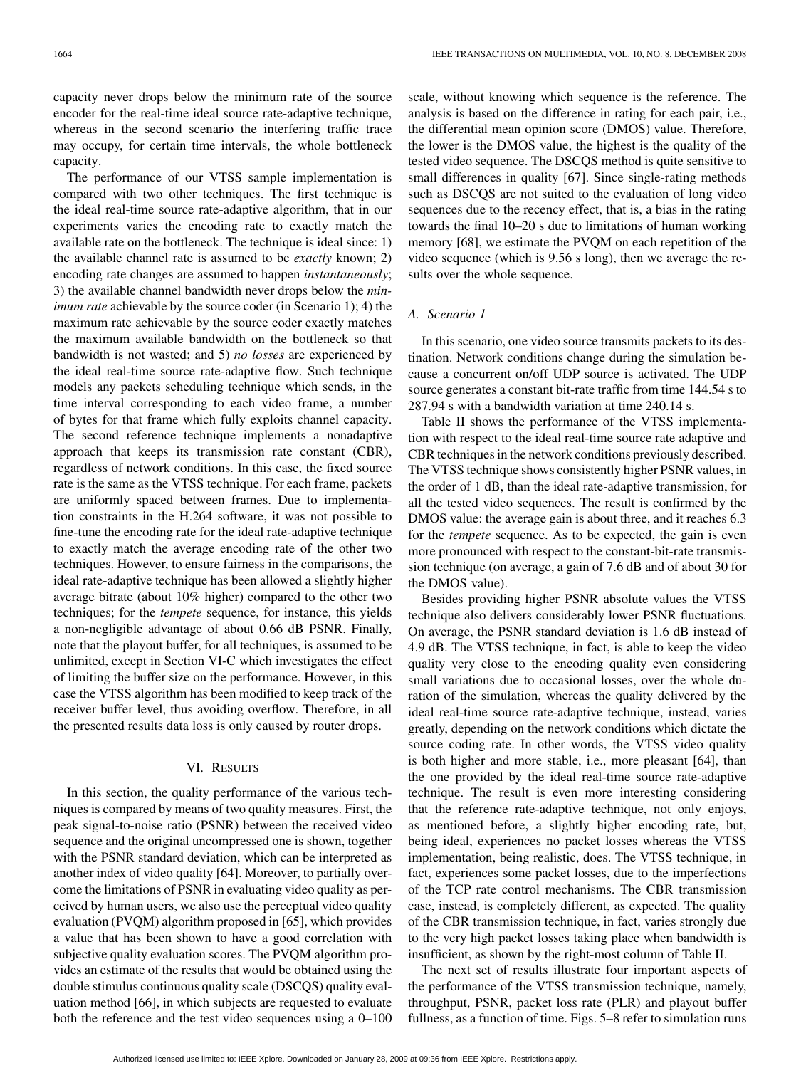capacity never drops below the minimum rate of the source encoder for the real-time ideal source rate-adaptive technique, whereas in the second scenario the interfering traffic trace may occupy, for certain time intervals, the whole bottleneck capacity.

The performance of our VTSS sample implementation is compared with two other techniques. The first technique is the ideal real-time source rate-adaptive algorithm, that in our experiments varies the encoding rate to exactly match the available rate on the bottleneck. The technique is ideal since: 1) the available channel rate is assumed to be *exactly* known; 2) encoding rate changes are assumed to happen *instantaneously*; 3) the available channel bandwidth never drops below the *minimum rate* achievable by the source coder (in Scenario 1); 4) the maximum rate achievable by the source coder exactly matches the maximum available bandwidth on the bottleneck so that bandwidth is not wasted; and 5) *no losses* are experienced by the ideal real-time source rate-adaptive flow. Such technique models any packets scheduling technique which sends, in the time interval corresponding to each video frame, a number of bytes for that frame which fully exploits channel capacity. The second reference technique implements a nonadaptive approach that keeps its transmission rate constant (CBR), regardless of network conditions. In this case, the fixed source rate is the same as the VTSS technique. For each frame, packets are uniformly spaced between frames. Due to implementation constraints in the H.264 software, it was not possible to fine-tune the encoding rate for the ideal rate-adaptive technique to exactly match the average encoding rate of the other two techniques. However, to ensure fairness in the comparisons, the ideal rate-adaptive technique has been allowed a slightly higher average bitrate (about 10% higher) compared to the other two techniques; for the *tempete* sequence, for instance, this yields a non-negligible advantage of about 0.66 dB PSNR. Finally, note that the playout buffer, for all techniques, is assumed to be unlimited, except in Section VI-C which investigates the effect of limiting the buffer size on the performance. However, in this case the VTSS algorithm has been modified to keep track of the receiver buffer level, thus avoiding overflow. Therefore, in all the presented results data loss is only caused by router drops.

## VI. RESULTS

In this section, the quality performance of the various techniques is compared by means of two quality measures. First, the peak signal-to-noise ratio (PSNR) between the received video sequence and the original uncompressed one is shown, together with the PSNR standard deviation, which can be interpreted as another index of video quality [64]. Moreover, to partially overcome the limitations of PSNR in evaluating video quality as perceived by human users, we also use the perceptual video quality evaluation (PVQM) algorithm proposed in [65], which provides a value that has been shown to have a good correlation with subjective quality evaluation scores. The PVQM algorithm provides an estimate of the results that would be obtained using the double stimulus continuous quality scale (DSCQS) quality evaluation method [66], in which subjects are requested to evaluate both the reference and the test video sequences using a 0–100 scale, without knowing which sequence is the reference. The analysis is based on the difference in rating for each pair, i.e., the differential mean opinion score (DMOS) value. Therefore, the lower is the DMOS value, the highest is the quality of the tested video sequence. The DSCQS method is quite sensitive to small differences in quality [67]. Since single-rating methods such as DSCQS are not suited to the evaluation of long video sequences due to the recency effect, that is, a bias in the rating towards the final 10–20 s due to limitations of human working memory [68], we estimate the PVQM on each repetition of the video sequence (which is 9.56 s long), then we average the results over the whole sequence.

# *A. Scenario 1*

In this scenario, one video source transmits packets to its destination. Network conditions change during the simulation because a concurrent on/off UDP source is activated. The UDP source generates a constant bit-rate traffic from time 144.54 s to 287.94 s with a bandwidth variation at time 240.14 s.

Table II shows the performance of the VTSS implementation with respect to the ideal real-time source rate adaptive and CBR techniques in the network conditions previously described. The VTSS technique shows consistently higher PSNR values, in the order of 1 dB, than the ideal rate-adaptive transmission, for all the tested video sequences. The result is confirmed by the DMOS value: the average gain is about three, and it reaches 6.3 for the *tempete* sequence. As to be expected, the gain is even more pronounced with respect to the constant-bit-rate transmission technique (on average, a gain of 7.6 dB and of about 30 for the DMOS value).

Besides providing higher PSNR absolute values the VTSS technique also delivers considerably lower PSNR fluctuations. On average, the PSNR standard deviation is 1.6 dB instead of 4.9 dB. The VTSS technique, in fact, is able to keep the video quality very close to the encoding quality even considering small variations due to occasional losses, over the whole duration of the simulation, whereas the quality delivered by the ideal real-time source rate-adaptive technique, instead, varies greatly, depending on the network conditions which dictate the source coding rate. In other words, the VTSS video quality is both higher and more stable, i.e., more pleasant [64], than the one provided by the ideal real-time source rate-adaptive technique. The result is even more interesting considering that the reference rate-adaptive technique, not only enjoys, as mentioned before, a slightly higher encoding rate, but, being ideal, experiences no packet losses whereas the VTSS implementation, being realistic, does. The VTSS technique, in fact, experiences some packet losses, due to the imperfections of the TCP rate control mechanisms. The CBR transmission case, instead, is completely different, as expected. The quality of the CBR transmission technique, in fact, varies strongly due to the very high packet losses taking place when bandwidth is insufficient, as shown by the right-most column of Table II.

The next set of results illustrate four important aspects of the performance of the VTSS transmission technique, namely, throughput, PSNR, packet loss rate (PLR) and playout buffer fullness, as a function of time. Figs. 5–8 refer to simulation runs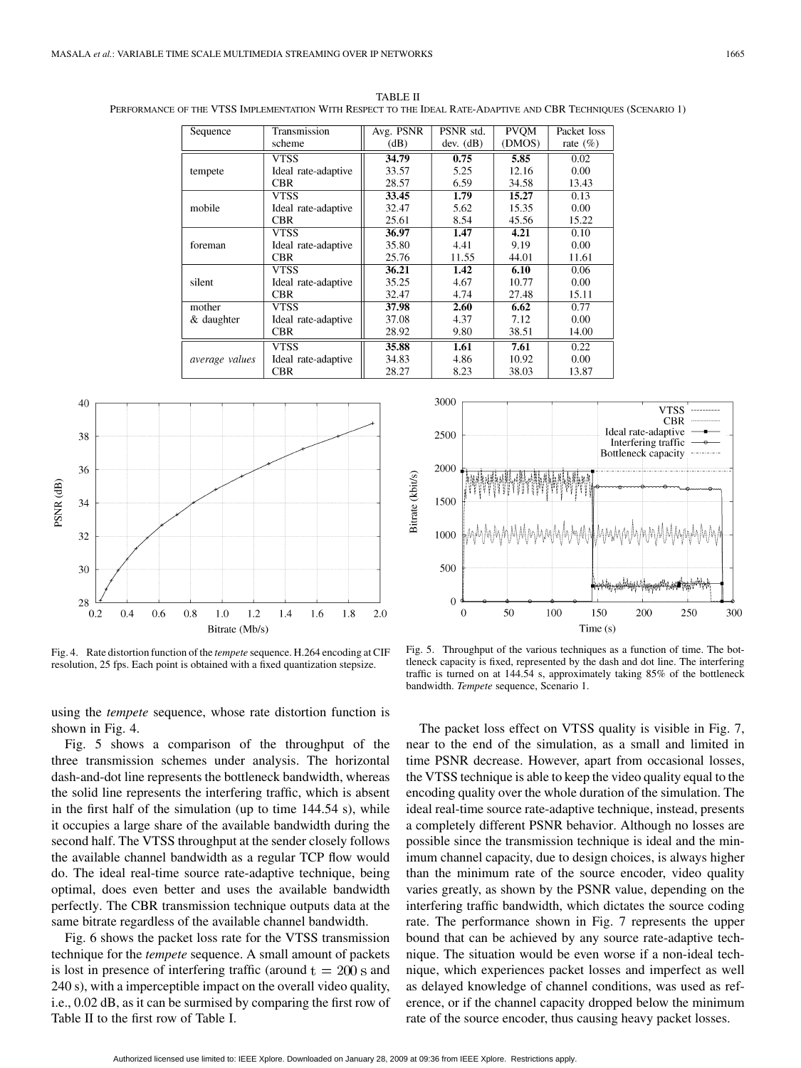PERFORMANCE OF THE VTSS IMPLEMENTATION WITH RESPECT TO THE IDEAL RATE-ADAPTIVE AND CBR TECHNIQUES (SCENARIO 1)  $\Delta$ yo DCMD  $\parallel$  DCMD at  $\parallel$  DVOM  $\parallel$  Decket loss π

TABLE II

| Sequence       | паняшізмон          | AVg. POINK         | POINK SIU. | F V VIVI | Packet 10SS  |
|----------------|---------------------|--------------------|------------|----------|--------------|
|                | scheme              | (dB)               | dev. (dB)  | (DMOS)   | rate $(\% )$ |
|                | <b>VTSS</b>         | 34.79              | 0.75       | 5.85     | 0.02         |
| tempete        | Ideal rate-adaptive | 33.57              | 5.25       | 12.16    | 0.00         |
|                | CBR                 | 28.57              | 6.59       | 34.58    | 13.43        |
|                | VTSS                | $33.\overline{45}$ | 1.79       | 15.27    | 0.13         |
| mobile         | Ideal rate-adaptive | 32.47              | 5.62       | 15.35    | 0.00         |
|                | <b>CBR</b>          | 25.61              | 8.54       | 45.56    | 15.22        |
|                | VTSS                | 36.97              | 1.47       | 4.21     | 0.10         |
| foreman        | Ideal rate-adaptive | 35.80              | 4.41       | 9.19     | 0.00         |
|                | CBR                 | 25.76              | 11.55      | 44.01    | 11.61        |
|                | VTSS                | 36.21              | 1.42       | 6.10     | 0.06         |
| silent         | Ideal rate-adaptive | 35.25              | 4.67       | 10.77    | 0.00         |
|                | <b>CBR</b>          | 32.47              | 4.74       | 27.48    | 15.11        |
| mother         | VTSS                | 37.98              | 2.60       | 6.62     | 0.77         |
| & daughter     | Ideal rate-adaptive | 37.08              | 4.37       | 7.12     | 0.00         |
|                | CBR                 | 28.92              | 9.80       | 38.51    | 14.00        |
|                | <b>VTSS</b>         | 35.88              | 1.61       | 7.61     | 0.22         |
| average values | Ideal rate-adaptive | 34.83              | 4.86       | 10.92    | 0.00         |
|                | <b>CBR</b>          | 28.27              | 8.23       | 38.03    | 13.87        |



Fig. 4. Rate distortion function of the *tempete* sequence. H.264 encoding at CIF resolution, 25 fps. Each point is obtained with a fixed quantization stepsize.

using the *tempete* sequence, whose rate distortion function is shown in Fig. 4.

Fig. 5 shows a comparison of the throughput of the three transmission schemes under analysis. The horizontal dash-and-dot line represents the bottleneck bandwidth, whereas the solid line represents the interfering traffic, which is absent in the first half of the simulation (up to time 144.54 s), while it occupies a large share of the available bandwidth during the second half. The VTSS throughput at the sender closely follows the available channel bandwidth as a regular TCP flow would do. The ideal real-time source rate-adaptive technique, being optimal, does even better and uses the available bandwidth perfectly. The CBR transmission technique outputs data at the same bitrate regardless of the available channel bandwidth.

Fig. 6 shows the packet loss rate for the VTSS transmission technique for the *tempete* sequence. A small amount of packets is lost in presence of interfering traffic (around  $t = 200$  s and 240 s), with a imperceptible impact on the overall video quality, i.e., 0.02 dB, as it can be surmised by comparing the first row of Table II to the first row of Table I.



Fig. 5. Throughput of the various techniques as a function of time. The bottleneck capacity is fixed, represented by the dash and dot line. The interfering traffic is turned on at 144.54 s, approximately taking 85% of the bottleneck bandwidth. *Tempete* sequence, Scenario 1.

The packet loss effect on VTSS quality is visible in Fig. 7, near to the end of the simulation, as a small and limited in time PSNR decrease. However, apart from occasional losses, the VTSS technique is able to keep the video quality equal to the encoding quality over the whole duration of the simulation. The ideal real-time source rate-adaptive technique, instead, presents a completely different PSNR behavior. Although no losses are possible since the transmission technique is ideal and the minimum channel capacity, due to design choices, is always higher than the minimum rate of the source encoder, video quality varies greatly, as shown by the PSNR value, depending on the interfering traffic bandwidth, which dictates the source coding rate. The performance shown in Fig. 7 represents the upper bound that can be achieved by any source rate-adaptive technique. The situation would be even worse if a non-ideal technique, which experiences packet losses and imperfect as well as delayed knowledge of channel conditions, was used as reference, or if the channel capacity dropped below the minimum rate of the source encoder, thus causing heavy packet losses.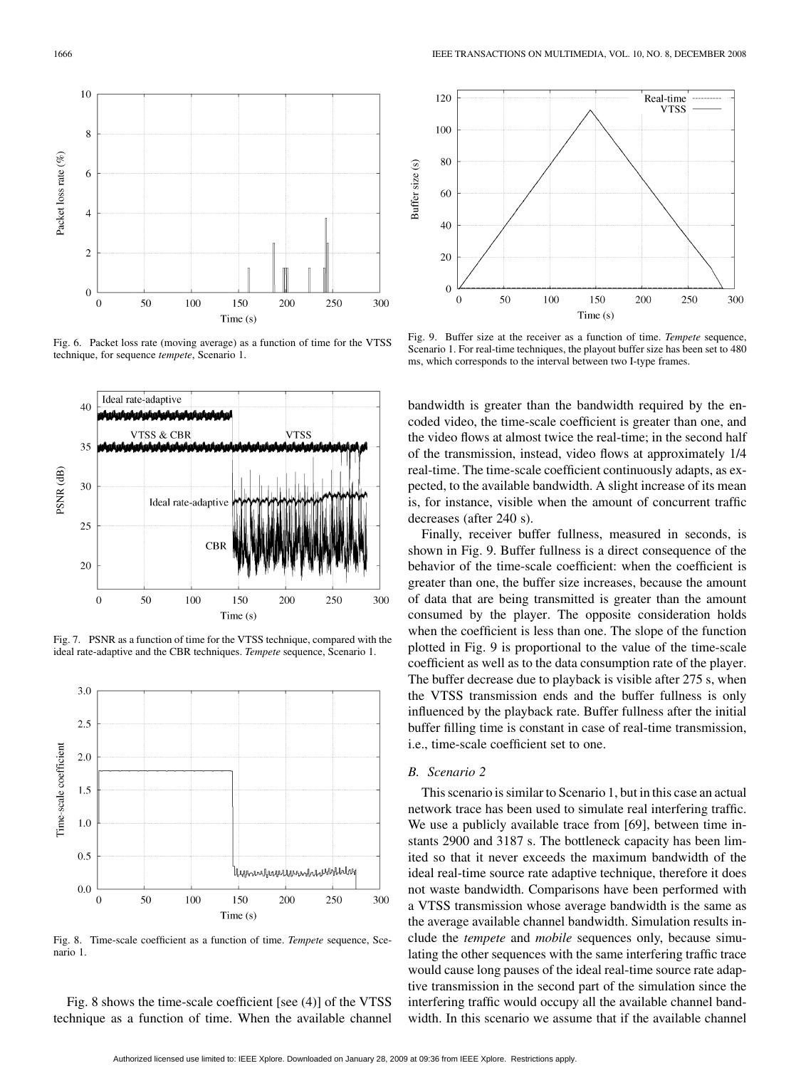

Fig. 6. Packet loss rate (moving average) as a function of time for the VTSS technique, for sequence *tempete*, Scenario 1.



Fig. 7. PSNR as a function of time for the VTSS technique, compared with the ideal rate-adaptive and the CBR techniques. *Tempete* sequence, Scenario 1.



Fig. 8. Time-scale coefficient as a function of time. *Tempete* sequence, Scenario 1.

Fig. 8 shows the time-scale coefficient [see (4)] of the VTSS technique as a function of time. When the available channel



Fig. 9. Buffer size at the receiver as a function of time. *Tempete* sequence, Scenario 1. For real-time techniques, the playout buffer size has been set to 480 ms, which corresponds to the interval between two I-type frames.

bandwidth is greater than the bandwidth required by the encoded video, the time-scale coefficient is greater than one, and the video flows at almost twice the real-time; in the second half of the transmission, instead, video flows at approximately 1/4 real-time. The time-scale coefficient continuously adapts, as expected, to the available bandwidth. A slight increase of its mean is, for instance, visible when the amount of concurrent traffic decreases (after 240 s).

Finally, receiver buffer fullness, measured in seconds, is shown in Fig. 9. Buffer fullness is a direct consequence of the behavior of the time-scale coefficient: when the coefficient is greater than one, the buffer size increases, because the amount of data that are being transmitted is greater than the amount consumed by the player. The opposite consideration holds when the coefficient is less than one. The slope of the function plotted in Fig. 9 is proportional to the value of the time-scale coefficient as well as to the data consumption rate of the player. The buffer decrease due to playback is visible after 275 s, when the VTSS transmission ends and the buffer fullness is only influenced by the playback rate. Buffer fullness after the initial buffer filling time is constant in case of real-time transmission, i.e., time-scale coefficient set to one.

## *B. Scenario 2*

This scenario is similar to Scenario 1, but in this case an actual network trace has been used to simulate real interfering traffic. We use a publicly available trace from [69], between time instants 2900 and 3187 s. The bottleneck capacity has been limited so that it never exceeds the maximum bandwidth of the ideal real-time source rate adaptive technique, therefore it does not waste bandwidth. Comparisons have been performed with a VTSS transmission whose average bandwidth is the same as the average available channel bandwidth. Simulation results include the *tempete* and *mobile* sequences only, because simulating the other sequences with the same interfering traffic trace would cause long pauses of the ideal real-time source rate adaptive transmission in the second part of the simulation since the interfering traffic would occupy all the available channel bandwidth. In this scenario we assume that if the available channel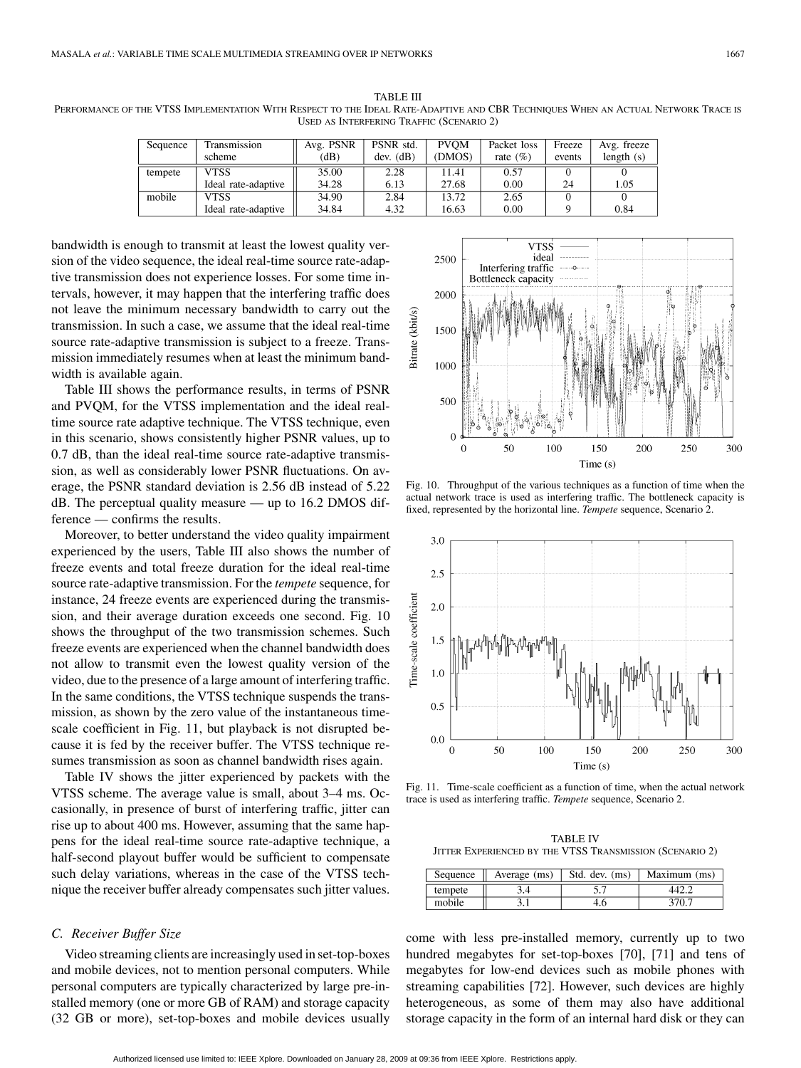TABLE III PERFORMANCE OF THE VTSS IMPLEMENTATION WITH RESPECT TO THE IDEAL RATE-ADAPTIVE AND CBR TECHNIQUES WHEN AN ACTUAL NETWORK TRACE IS USED AS INTERFERING TRAFFIC (SCENARIO 2)

| Sequence | Transmission<br>scheme      | Avg. PSNR<br>(dB) | PSNR std.<br>dev. (dB) | <b>PVOM</b><br>(DMOS) | Packet loss<br>rate $(\%)$ | Freeze<br>events | Avg. freeze<br>length $(s)$ |
|----------|-----------------------------|-------------------|------------------------|-----------------------|----------------------------|------------------|-----------------------------|
| tempete  | VTSS<br>Ideal rate-adaptive | 35.00<br>34.28    | 2.28<br>6.13           | 11.41<br>27.68        | 0.57<br>0.00               | 24               | 1.05                        |
| mobile   | VTSS<br>Ideal rate-adaptive | 34.90<br>34.84    | 2.84<br>4.32           | 13.72<br>16.63        | 2.65<br>0.00               |                  | 0.84                        |

bandwidth is enough to transmit at least the lowest quality version of the video sequence, the ideal real-time source rate-adaptive transmission does not experience losses. For some time intervals, however, it may happen that the interfering traffic does not leave the minimum necessary bandwidth to carry out the transmission. In such a case, we assume that the ideal real-time source rate-adaptive transmission is subject to a freeze. Transmission immediately resumes when at least the minimum bandwidth is available again.

Table III shows the performance results, in terms of PSNR and PVQM, for the VTSS implementation and the ideal realtime source rate adaptive technique. The VTSS technique, even in this scenario, shows consistently higher PSNR values, up to 0.7 dB, than the ideal real-time source rate-adaptive transmission, as well as considerably lower PSNR fluctuations. On average, the PSNR standard deviation is 2.56 dB instead of 5.22 dB. The perceptual quality measure — up to 16.2 DMOS difference — confirms the results.

Moreover, to better understand the video quality impairment experienced by the users, Table III also shows the number of freeze events and total freeze duration for the ideal real-time source rate-adaptive transmission. For the *tempete* sequence, for instance, 24 freeze events are experienced during the transmission, and their average duration exceeds one second. Fig. 10 shows the throughput of the two transmission schemes. Such freeze events are experienced when the channel bandwidth does not allow to transmit even the lowest quality version of the video, due to the presence of a large amount of interfering traffic. In the same conditions, the VTSS technique suspends the transmission, as shown by the zero value of the instantaneous timescale coefficient in Fig. 11, but playback is not disrupted because it is fed by the receiver buffer. The VTSS technique resumes transmission as soon as channel bandwidth rises again.

Table IV shows the jitter experienced by packets with the VTSS scheme. The average value is small, about 3–4 ms. Occasionally, in presence of burst of interfering traffic, jitter can rise up to about 400 ms. However, assuming that the same happens for the ideal real-time source rate-adaptive technique, a half-second playout buffer would be sufficient to compensate such delay variations, whereas in the case of the VTSS technique the receiver buffer already compensates such jitter values.

# *C. Receiver Buffer Size*

Video streaming clients are increasingly used in set-top-boxes and mobile devices, not to mention personal computers. While personal computers are typically characterized by large pre-installed memory (one or more GB of RAM) and storage capacity (32 GB or more), set-top-boxes and mobile devices usually



Fig. 10. Throughput of the various techniques as a function of time when the actual network trace is used as interfering traffic. The bottleneck capacity is fixed, represented by the horizontal line. *Tempete* sequence, Scenario 2.



Fig. 11. Time-scale coefficient as a function of time, when the actual network trace is used as interfering traffic. *Tempete* sequence, Scenario 2.

TABLE IV JITTER EXPERIENCED BY THE VTSS TRANSMISSION (SCENARIO 2)

| Sequence | Average (ms) | Std. dev. (ms) | Maximum (ms) |
|----------|--------------|----------------|--------------|
| tempete  |              | .              |              |
| mobile   |              | 4.C            |              |

come with less pre-installed memory, currently up to two hundred megabytes for set-top-boxes [70], [71] and tens of megabytes for low-end devices such as mobile phones with streaming capabilities [72]. However, such devices are highly heterogeneous, as some of them may also have additional storage capacity in the form of an internal hard disk or they can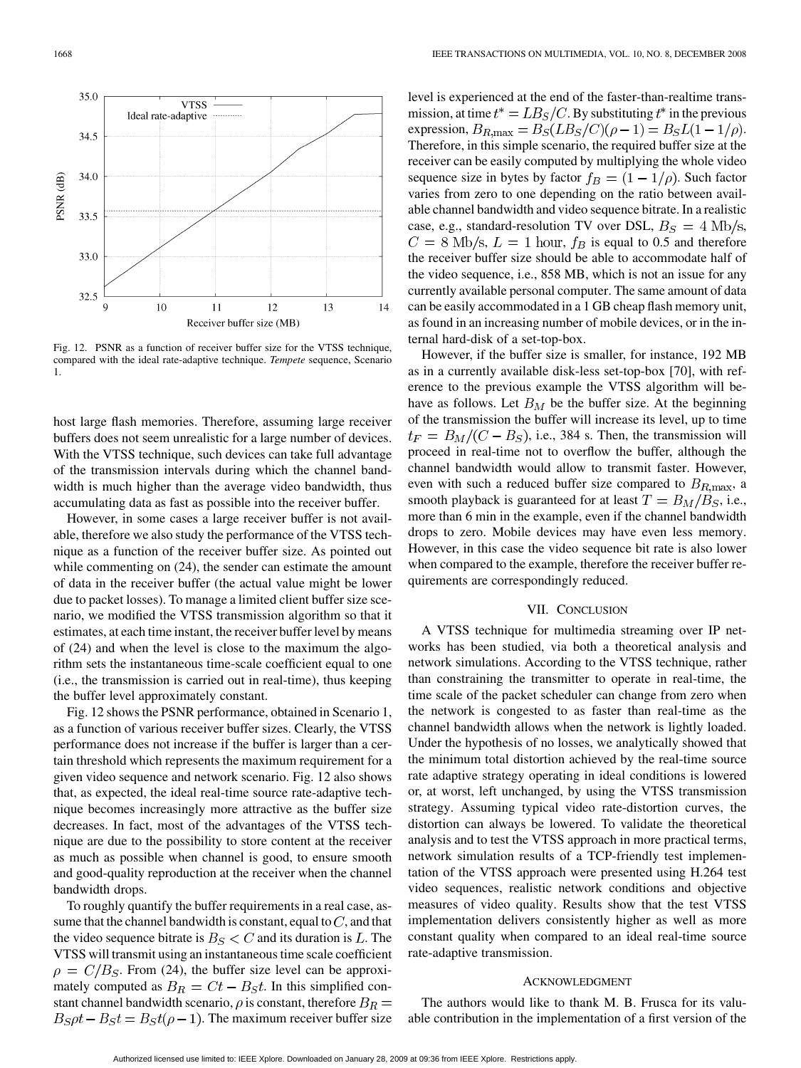

Fig. 12. PSNR as a function of receiver buffer size for the VTSS technique, compared with the ideal rate-adaptive technique. *Tempete* sequence, Scenario 1.

host large flash memories. Therefore, assuming large receiver buffers does not seem unrealistic for a large number of devices. With the VTSS technique, such devices can take full advantage of the transmission intervals during which the channel bandwidth is much higher than the average video bandwidth, thus accumulating data as fast as possible into the receiver buffer.

However, in some cases a large receiver buffer is not available, therefore we also study the performance of the VTSS technique as a function of the receiver buffer size. As pointed out while commenting on  $(24)$ , the sender can estimate the amount of data in the receiver buffer (the actual value might be lower due to packet losses). To manage a limited client buffer size scenario, we modified the VTSS transmission algorithm so that it estimates, at each time instant, the receiver buffer level by means of (24) and when the level is close to the maximum the algorithm sets the instantaneous time-scale coefficient equal to one (i.e., the transmission is carried out in real-time), thus keeping the buffer level approximately constant.

Fig. 12 shows the PSNR performance, obtained in Scenario 1, as a function of various receiver buffer sizes. Clearly, the VTSS performance does not increase if the buffer is larger than a certain threshold which represents the maximum requirement for a given video sequence and network scenario. Fig. 12 also shows that, as expected, the ideal real-time source rate-adaptive technique becomes increasingly more attractive as the buffer size decreases. In fact, most of the advantages of the VTSS technique are due to the possibility to store content at the receiver as much as possible when channel is good, to ensure smooth and good-quality reproduction at the receiver when the channel bandwidth drops.

To roughly quantify the buffer requirements in a real case, assume that the channel bandwidth is constant, equal to  $C$ , and that the video sequence bitrate is  $B<sub>S</sub> < C$  and its duration is L. The VTSS will transmit using an instantaneous time scale coefficient  $\rho = C/B_S$ . From (24), the buffer size level can be approximately computed as  $B_R = Ct - B_St$ . In this simplified constant channel bandwidth scenario,  $\rho$  is constant, therefore  $B_R =$  $B_S \rho t - B_S t = B_S t (\rho - 1)$ . The maximum receiver buffer size level is experienced at the end of the faster-than-realtime transmission, at time  $t^* = L B_S/C$ . By substituting  $t^*$  in the previous expression,  $B_{R, \text{max}} = B_S(LB_S/C)(\rho - 1) = B_S L(1 - 1/\rho)$ . Therefore, in this simple scenario, the required buffer size at the receiver can be easily computed by multiplying the whole video sequence size in bytes by factor  $f_B = (1 - 1/\rho)$ . Such factor varies from zero to one depending on the ratio between available channel bandwidth and video sequence bitrate. In a realistic case, e.g., standard-resolution TV over DSL,  $B<sub>S</sub> = 4$  Mb/s,  $C = 8$  Mb/s,  $L = 1$  hour,  $f_B$  is equal to 0.5 and therefore the receiver buffer size should be able to accommodate half of the video sequence, i.e., 858 MB, which is not an issue for any currently available personal computer. The same amount of data can be easily accommodated in a 1 GB cheap flash memory unit, as found in an increasing number of mobile devices, or in the internal hard-disk of a set-top-box.

However, if the buffer size is smaller, for instance, 192 MB as in a currently available disk-less set-top-box [70], with reference to the previous example the VTSS algorithm will behave as follows. Let  $B_M$  be the buffer size. At the beginning of the transmission the buffer will increase its level, up to time  $t_F = B_M / (C - B_S)$ , i.e., 384 s. Then, the transmission will proceed in real-time not to overflow the buffer, although the channel bandwidth would allow to transmit faster. However, even with such a reduced buffer size compared to  $B_{R,\text{max}}$ , a smooth playback is guaranteed for at least  $T = B_M/B_S$ , i.e., more than 6 min in the example, even if the channel bandwidth drops to zero. Mobile devices may have even less memory. However, in this case the video sequence bit rate is also lower when compared to the example, therefore the receiver buffer requirements are correspondingly reduced.

## VII. CONCLUSION

A VTSS technique for multimedia streaming over IP networks has been studied, via both a theoretical analysis and network simulations. According to the VTSS technique, rather than constraining the transmitter to operate in real-time, the time scale of the packet scheduler can change from zero when the network is congested to as faster than real-time as the channel bandwidth allows when the network is lightly loaded. Under the hypothesis of no losses, we analytically showed that the minimum total distortion achieved by the real-time source rate adaptive strategy operating in ideal conditions is lowered or, at worst, left unchanged, by using the VTSS transmission strategy. Assuming typical video rate-distortion curves, the distortion can always be lowered. To validate the theoretical analysis and to test the VTSS approach in more practical terms, network simulation results of a TCP-friendly test implementation of the VTSS approach were presented using H.264 test video sequences, realistic network conditions and objective measures of video quality. Results show that the test VTSS implementation delivers consistently higher as well as more constant quality when compared to an ideal real-time source rate-adaptive transmission.

#### ACKNOWLEDGMENT

The authors would like to thank M. B. Frusca for its valuable contribution in the implementation of a first version of the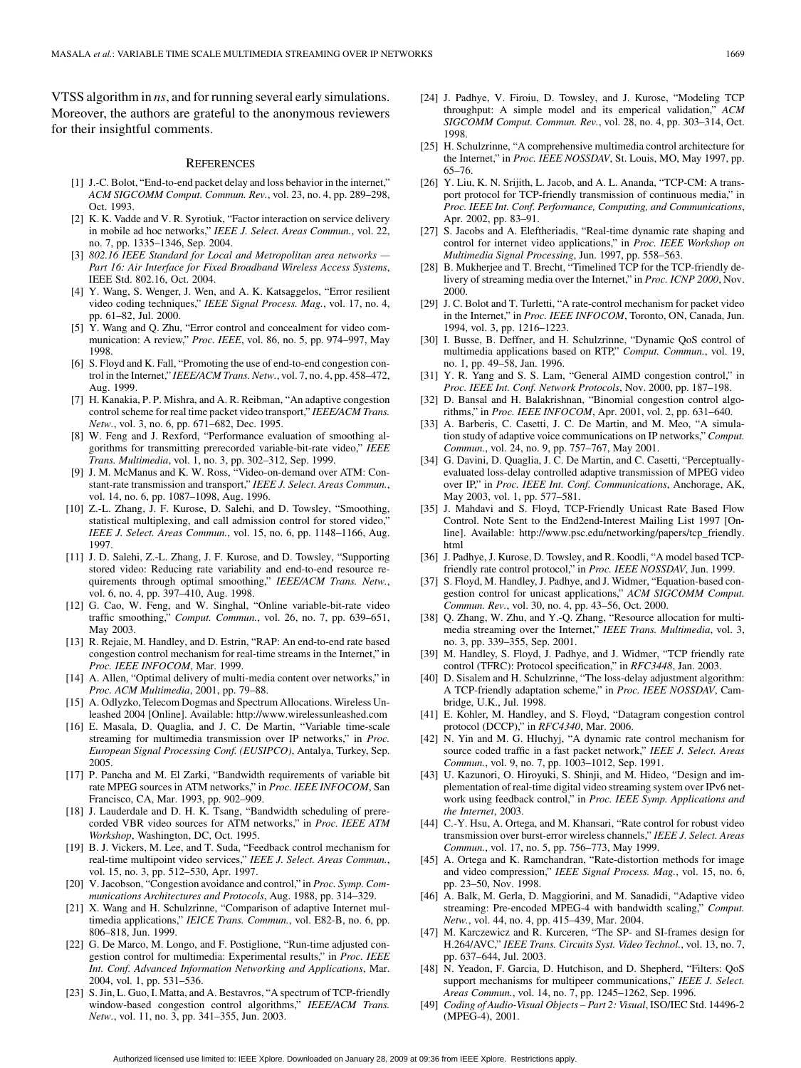VTSS algorithm in *ns*, and for running several early simulations. Moreover, the authors are grateful to the anonymous reviewers for their insightful comments.

#### **REFERENCES**

- [1] J.-C. Bolot, "End-to-end packet delay and loss behavior in the internet," *ACM SIGCOMM Comput. Commun. Rev.*, vol. 23, no. 4, pp. 289–298, Oct. 1993.
- [2] K. K. Vadde and V. R. Syrotiuk, "Factor interaction on service delivery in mobile ad hoc networks," *IEEE J. Select. Areas Commun.*, vol. 22, no. 7, pp. 1335–1346, Sep. 2004.
- [3] *802.16 IEEE Standard for Local and Metropolitan area networks — Part 16: Air Interface for Fixed Broadband Wireless Access Systems*, IEEE Std. 802.16, Oct. 2004.
- [4] Y. Wang, S. Wenger, J. Wen, and A. K. Katsaggelos, "Error resilient video coding techniques," *IEEE Signal Process. Mag.*, vol. 17, no. 4, pp. 61–82, Jul. 2000.
- [5] Y. Wang and Q. Zhu, "Error control and concealment for video communication: A review," *Proc. IEEE*, vol. 86, no. 5, pp. 974–997, May 1998.
- [6] S. Floyd and K. Fall, "Promoting the use of end-to-end congestion control in the Internet," *IEEE/ACM Trans. Netw.*, vol. 7, no. 4, pp. 458–472, Aug. 1999.
- [7] H. Kanakia, P. P. Mishra, and A. R. Reibman, "An adaptive congestion control scheme for real time packet video transport," *IEEE/ACM Trans. Netw.*, vol. 3, no. 6, pp. 671–682, Dec. 1995.
- [8] W. Feng and J. Rexford, "Performance evaluation of smoothing algorithms for transmitting prerecorded variable-bit-rate video," *IEEE Trans. Multimedia*, vol. 1, no. 3, pp. 302–312, Sep. 1999.
- [9] J. M. McManus and K. W. Ross, "Video-on-demand over ATM: Constant-rate transmission and transport," *IEEE J. Select. Areas Commun.*, vol. 14, no. 6, pp. 1087–1098, Aug. 1996.
- [10] Z.-L. Zhang, J. F. Kurose, D. Salehi, and D. Towsley, "Smoothing, statistical multiplexing, and call admission control for stored video," *IEEE J. Select. Areas Commun.*, vol. 15, no. 6, pp. 1148–1166, Aug. 1997.
- [11] J. D. Salehi, Z.-L. Zhang, J. F. Kurose, and D. Towsley, "Supporting stored video: Reducing rate variability and end-to-end resource requirements through optimal smoothing," *IEEE/ACM Trans. Netw.*, vol. 6, no. 4, pp. 397–410, Aug. 1998.
- [12] G. Cao, W. Feng, and W. Singhal, "Online variable-bit-rate video traffic smoothing," *Comput. Commun.*, vol. 26, no. 7, pp. 639–651, May 2003.
- [13] R. Rejaie, M. Handley, and D. Estrin, "RAP: An end-to-end rate based congestion control mechanism for real-time streams in the Internet," in *Proc. IEEE INFOCOM*, Mar. 1999.
- [14] A. Allen, "Optimal delivery of multi-media content over networks," in *Proc. ACM Multimedia*, 2001, pp. 79–88.
- [15] A. Odlyzko, Telecom Dogmas and Spectrum Allocations. Wireless Unleashed 2004 [Online]. Available: http://www.wirelessunleashed.com
- [16] E. Masala, D. Quaglia, and J. C. De Martin, "Variable time-scale streaming for multimedia transmission over IP networks," in *Proc. European Signal Processing Conf. (EUSIPCO)*, Antalya, Turkey, Sep. 2005.
- [17] P. Pancha and M. El Zarki, "Bandwidth requirements of variable bit rate MPEG sources in ATM networks," in *Proc. IEEE INFOCOM*, San Francisco, CA, Mar. 1993, pp. 902–909.
- [18] J. Lauderdale and D. H. K. Tsang, "Bandwidth scheduling of prerecorded VBR video sources for ATM networks," in *Proc. IEEE ATM Workshop*, Washington, DC, Oct. 1995.
- [19] B. J. Vickers, M. Lee, and T. Suda, "Feedback control mechanism for real-time multipoint video services," *IEEE J. Select. Areas Commun.*, vol. 15, no. 3, pp. 512–530, Apr. 1997.
- [20] V. Jacobson, "Congestion avoidance and control," in *Proc. Symp. Communications Architectures and Protocols*, Aug. 1988, pp. 314–329.
- [21] X. Wang and H. Schulzrinne, "Comparison of adaptive Internet multimedia applications," *IEICE Trans. Commun.*, vol. E82-B, no. 6, pp. 806–818, Jun. 1999.
- [22] G. De Marco, M. Longo, and F. Postiglione, "Run-time adjusted congestion control for multimedia: Experimental results," in *Proc. IEEE Int. Conf. Advanced Information Networking and Applications*, Mar. 2004, vol. 1, pp. 531–536.
- [23] S. Jin, L. Guo, I. Matta, and A. Bestavros, "A spectrum of TCP-friendly window-based congestion control algorithms," *IEEE/ACM Trans. Netw.*, vol. 11, no. 3, pp. 341–355, Jun. 2003.
- [24] J. Padhye, V. Firoiu, D. Towsley, and J. Kurose, "Modeling TCP throughput: A simple model and its emperical validation," *ACM SIGCOMM Comput. Commun. Rev.*, vol. 28, no. 4, pp. 303–314, Oct. 1998.
- [25] H. Schulzrinne, "A comprehensive multimedia control architecture for the Internet," in *Proc. IEEE NOSSDAV*, St. Louis, MO, May 1997, pp. 65–76.
- [26] Y. Liu, K. N. Srijith, L. Jacob, and A. L. Ananda, "TCP-CM: A transport protocol for TCP-friendly transmission of continuous media," in *Proc. IEEE Int. Conf. Performance, Computing, and Communications*, Apr. 2002, pp. 83–91.
- [27] S. Jacobs and A. Eleftheriadis, "Real-time dynamic rate shaping and control for internet video applications," in *Proc. IEEE Workshop on Multimedia Signal Processing*, Jun. 1997, pp. 558–563.
- [28] B. Mukherjee and T. Brecht, "Timelined TCP for the TCP-friendly delivery of streaming media over the Internet," in *Proc. ICNP 2000*, Nov. 2000.
- [29] J. C. Bolot and T. Turletti, "A rate-control mechanism for packet video in the Internet," in *Proc. IEEE INFOCOM*, Toronto, ON, Canada, Jun. 1994, vol. 3, pp. 1216–1223.
- [30] I. Busse, B. Deffner, and H. Schulzrinne, "Dynamic QoS control of multimedia applications based on RTP," *Comput. Commun.*, vol. 19, no. 1, pp. 49–58, Jan. 1996.
- [31] Y. R. Yang and S. S. Lam, "General AIMD congestion control," in *Proc. IEEE Int. Conf. Network Protocols*, Nov. 2000, pp. 187–198.
- [32] D. Bansal and H. Balakrishnan, "Binomial congestion control algorithms," in *Proc. IEEE INFOCOM*, Apr. 2001, vol. 2, pp. 631–640.
- [33] A. Barberis, C. Casetti, J. C. De Martin, and M. Meo, "A simulation study of adaptive voice communications on IP networks," *Comput. Commun.*, vol. 24, no. 9, pp. 757–767, May 2001.
- [34] G. Davini, D. Quaglia, J. C. De Martin, and C. Casetti, "Perceptuallyevaluated loss-delay controlled adaptive transmission of MPEG video over IP," in *Proc. IEEE Int. Conf. Communications*, Anchorage, AK, May 2003, vol. 1, pp. 577–581.
- [35] J. Mahdavi and S. Floyd, TCP-Friendly Unicast Rate Based Flow Control. Note Sent to the End2end-Interest Mailing List 1997 [Online]. Available: http://www.psc.edu/networking/papers/tcp\_friendly. html
- [36] J. Padhye, J. Kurose, D. Towsley, and R. Koodli, "A model based TCPfriendly rate control protocol," in *Proc. IEEE NOSSDAV*, Jun. 1999.
- [37] S. Floyd, M. Handley, J. Padhye, and J. Widmer, "Equation-based congestion control for unicast applications," *ACM SIGCOMM Comput. Commun. Rev.*, vol. 30, no. 4, pp. 43–56, Oct. 2000.
- [38] Q. Zhang, W. Zhu, and Y.-Q. Zhang, "Resource allocation for multimedia streaming over the Internet," *IEEE Trans. Multimedia*, vol. 3, no. 3, pp. 339–355, Sep. 2001.
- [39] M. Handley, S. Floyd, J. Padhye, and J. Widmer, "TCP friendly rate control (TFRC): Protocol specification," in *RFC3448*, Jan. 2003.
- [40] D. Sisalem and H. Schulzrinne, "The loss-delay adjustment algorithm: A TCP-friendly adaptation scheme," in *Proc. IEEE NOSSDAV*, Cambridge, U.K., Jul. 1998.
- [41] E. Kohler, M. Handley, and S. Floyd, "Datagram congestion control protocol (DCCP)," in *RFC4340*, Mar. 2006.
- [42] N. Yin and M. G. Hluchyj, "A dynamic rate control mechanism for source coded traffic in a fast packet network," *IEEE J. Select. Areas Commun.*, vol. 9, no. 7, pp. 1003–1012, Sep. 1991.
- [43] U. Kazunori, O. Hiroyuki, S. Shinji, and M. Hideo, "Design and implementation of real-time digital video streaming system over IPv6 network using feedback control," in *Proc. IEEE Symp. Applications and the Internet*, 2003.
- [44] C.-Y. Hsu, A. Ortega, and M. Khansari, "Rate control for robust video transmission over burst-error wireless channels," *IEEE J. Select. Areas Commun.*, vol. 17, no. 5, pp. 756–773, May 1999.
- [45] A. Ortega and K. Ramchandran, "Rate-distortion methods for image and video compression," *IEEE Signal Process. Mag.*, vol. 15, no. 6, pp. 23–50, Nov. 1998.
- [46] A. Balk, M. Gerla, D. Maggiorini, and M. Sanadidi, "Adaptive video streaming: Pre-encoded MPEG-4 with bandwidth scaling," *Comput. Netw.*, vol. 44, no. 4, pp. 415–439, Mar. 2004.
- [47] M. Karczewicz and R. Kurceren, "The SP- and SI-frames design for H.264/AVC," *IEEE Trans. Circuits Syst. Video Technol.*, vol. 13, no. 7, pp. 637–644, Jul. 2003.
- [48] N. Yeadon, F. Garcia, D. Hutchison, and D. Shepherd, "Filters: QoS support mechanisms for multipeer communications," *IEEE J. Select. Areas Commun.*, vol. 14, no. 7, pp. 1245–1262, Sep. 1996.
- [49] *Coding of Audio-Visual Objects Part 2: Visual*, ISO/IEC Std. 14496-2 (MPEG-4), 2001.